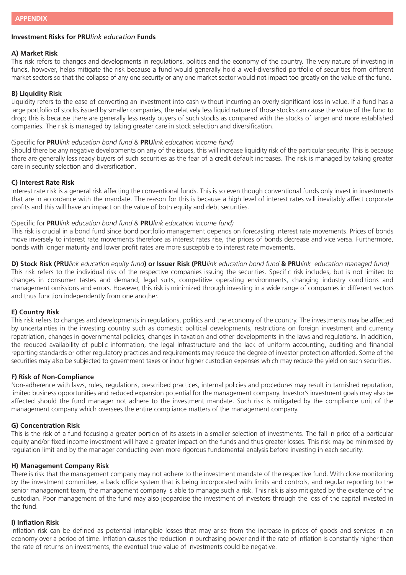# **Investment Risks for PRU***link education* **Funds**

# **A) Market Risk**

This risk refers to changes and developments in regulations, politics and the economy of the country. The very nature of investing in funds, however, helps mitigate the risk because a fund would generally hold a well-diversified portfolio of securities from different market sectors so that the collapse of any one security or any one market sector would not impact too greatly on the value of the fund.

# **B) Liquidity Risk**

Liquidity refers to the ease of converting an investment into cash without incurring an overly significant loss in value. If a fund has a large portfolio of stocks issued by smaller companies, the relatively less liquid nature of those stocks can cause the value of the fund to drop; this is because there are generally less ready buyers of such stocks as compared with the stocks of larger and more established companies. The risk is managed by taking greater care in stock selection and diversification.

### (Specific for **PRU***link education bond fund* & **PRU***link education income fund)*

Should there be any negative developments on any of the issues, this will increase liquidity risk of the particular security. This is because there are generally less ready buyers of such securities as the fear of a credit default increases. The risk is managed by taking greater care in security selection and diversification.

## **C) Interest Rate Risk**

Interest rate risk is a general risk affecting the conventional funds. This is so even though conventional funds only invest in investments that are in accordance with the mandate. The reason for this is because a high level of interest rates will inevitably affect corporate profits and this will have an impact on the value of both equity and debt securities.

#### (Specific for **PRU***link education bond fund* & **PRU***link education income fund)*

This risk is crucial in a bond fund since bond portfolio management depends on forecasting interest rate movements. Prices of bonds move inversely to interest rate movements therefore as interest rates rise, the prices of bonds decrease and vice versa. Furthermore, bonds with longer maturity and lower profit rates are more susceptible to interest rate movements.

**D) Stock Risk (PRU***link education equity fund***) or Issuer Risk (PRU***link education bond fund* **& PRU***link education managed fund)* This risk refers to the individual risk of the respective companies issuing the securities. Specific risk includes, but is not limited to changes in consumer tastes and demand, legal suits, competitive operating environments, changing industry conditions and management omissions and errors. However, this risk is minimized through investing in a wide range of companies in different sectors and thus function independently from one another.

#### **E) Country Risk**

This risk refers to changes and developments in regulations, politics and the economy of the country. The investments may be affected by uncertainties in the investing country such as domestic political developments, restrictions on foreign investment and currency repatriation, changes in governmental policies, changes in taxation and other developments in the laws and regulations. In addition, the reduced availability of public information, the legal infrastructure and the lack of uniform accounting, auditing and financial reporting standards or other regulatory practices and requirements may reduce the degree of investor protection afforded. Some of the securities may also be subjected to government taxes or incur higher custodian expenses which may reduce the yield on such securities.

## **F) Risk of Non-Compliance**

Non-adherence with laws, rules, regulations, prescribed practices, internal policies and procedures may result in tarnished reputation, limited business opportunities and reduced expansion potential for the management company. Investor's investment goals may also be affected should the fund manager not adhere to the investment mandate. Such risk is mitigated by the compliance unit of the management company which oversees the entire compliance matters of the management company.

#### **G) Concentration Risk**

This is the risk of a fund focusing a greater portion of its assets in a smaller selection of investments. The fall in price of a particular equity and/or fixed income investment will have a greater impact on the funds and thus greater losses. This risk may be minimised by regulation limit and by the manager conducting even more rigorous fundamental analysis before investing in each security.

# **H) Management Company Risk**

There is risk that the management company may not adhere to the investment mandate of the respective fund. With close monitoring by the investment committee, a back office system that is being incorporated with limits and controls, and regular reporting to the senior management team, the management company is able to manage such a risk. This risk is also mitigated by the existence of the custodian. Poor management of the fund may also jeopardise the investment of investors through the loss of the capital invested in the fund.

# **I) Inflation Risk**

Inflation risk can be defined as potential intangible losses that may arise from the increase in prices of goods and services in an economy over a period of time. Inflation causes the reduction in purchasing power and if the rate of inflation is constantly higher than the rate of returns on investments, the eventual true value of investments could be negative.